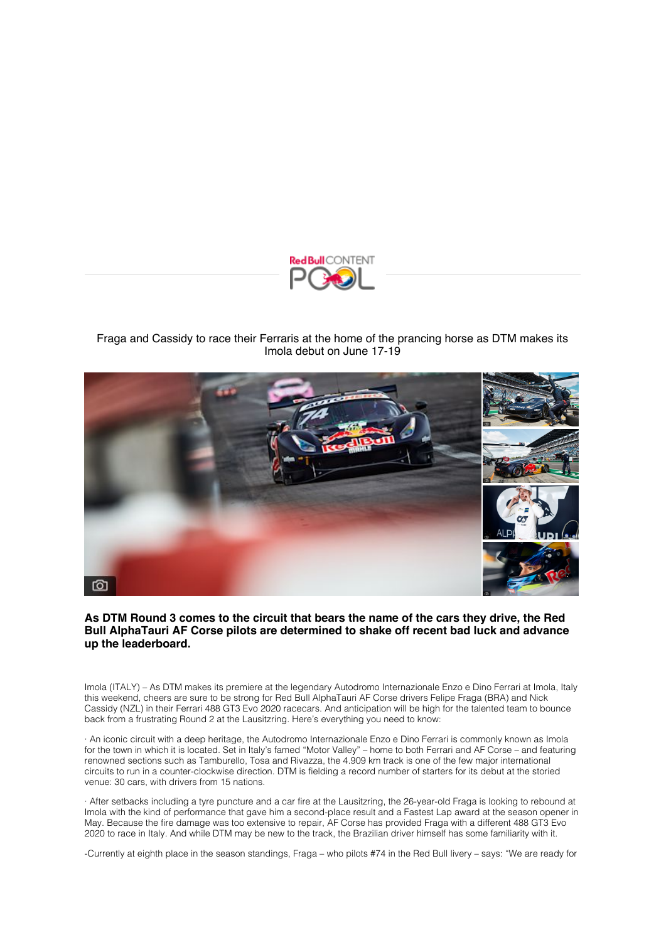

## [Fraga and Cassidy to race their Ferraris at the home of the prancing horse as DTM makes its](https://click.redbullmediapitch.com/CL0/https:%2F%2Fwww.redbullcontentpool.com%2Fnews%2FCP-S-15521%3FtcLang=en%26locale=en%26mp=eAEV0UcRA0EMADBK626HjSt_CJlDoIfmsF7iWIYXI9HmU2vUyhB2_91056w5SlM4XYFYdw2f9aI5arm7c-dbt6t7D5DQVKM6mheIjDxaWVKAMEq4M-Ba1-U02Sxw92mCjKm0Bq_mOdQxZmXs7ILfqGzpgChCcicnPdqFYRzmyYtsrWdzyZSuzxw9HGEPaMApECdhg3TJ-eQhYTkIvYks6GHCHYYZaN1W75deZUBnsHBUvmpvs4hlalAnaBbopYiwpXIWFSGWiy-QvYiGfpyK8BDDVVuvd6gr3WrjLYp2v1fmxTYlFFNc45EN5TnVnt7sHgKeUnlp9vktJsgVlKsty0QHQ8RxUib0rnoJnDImz2YwwneESzQv7qhPE5FLU9cD3ZAiav2VMagbHsW-QI55j9ci2b72PWtKCo75A4aEn9o%26utm_source=mp_contact_179225%26utm_campaign=mp_version_9145%26utm_medium=mediapitch/3/010201816ba41364-d8393b9f-d707-41ab-857d-d0249aee40d7-000000/YL6NB588BBV6JBYvFEF-GBl7Uu4r6CI-ZE3mtcMg4MY=253) Imola debut on June 17-19



## **As DTM Round 3 comes to the circuit that bears the name of the cars they drive, the Red Bull AlphaTauri AF Corse pilots are determined to shake off recent bad luck and advance up the leaderboard.**

Imola (ITALY) – As DTM makes its premiere at the legendary Autodromo Internazionale Enzo e Dino Ferrari at Imola, Italy this weekend, cheers are sure to be strong for Red Bull AlphaTauri AF Corse drivers Felipe Fraga (BRA) and Nick Cassidy (NZL) in their Ferrari 488 GT3 Evo 2020 racecars. And anticipation will be high for the talented team to bounce back from a frustrating Round 2 at the Lausitzring. Here's everything you need to know:

· An iconic circuit with a deep heritage, the Autodromo Internazionale Enzo e Dino Ferrari is commonly known as Imola for the town in which it is located. Set in Italy's famed "Motor Valley" – home to both Ferrari and AF Corse – and featuring renowned sections such as Tamburello, Tosa and Rivazza, the 4.909 km track is one of the few major international circuits to run in a counter-clockwise direction. DTM is fielding a record number of starters for its debut at the storied venue: 30 cars, with drivers from 15 nations.

· After setbacks including a tyre puncture and a car fire at the Lausitzring, the 26-year-old Fraga is looking to rebound at Imola with the kind of performance that gave him a second-place result and a Fastest Lap award at the season opener in May. Because the fire damage was too extensive to repair, AF Corse has provided Fraga with a different 488 GT3 Evo 2020 to race in Italy. And while DTM may be new to the track, the Brazilian driver himself has some familiarity with it.

-Currently at eighth place in the season standings, Fraga – who pilots #74 in the Red Bull livery – says: "We are ready for